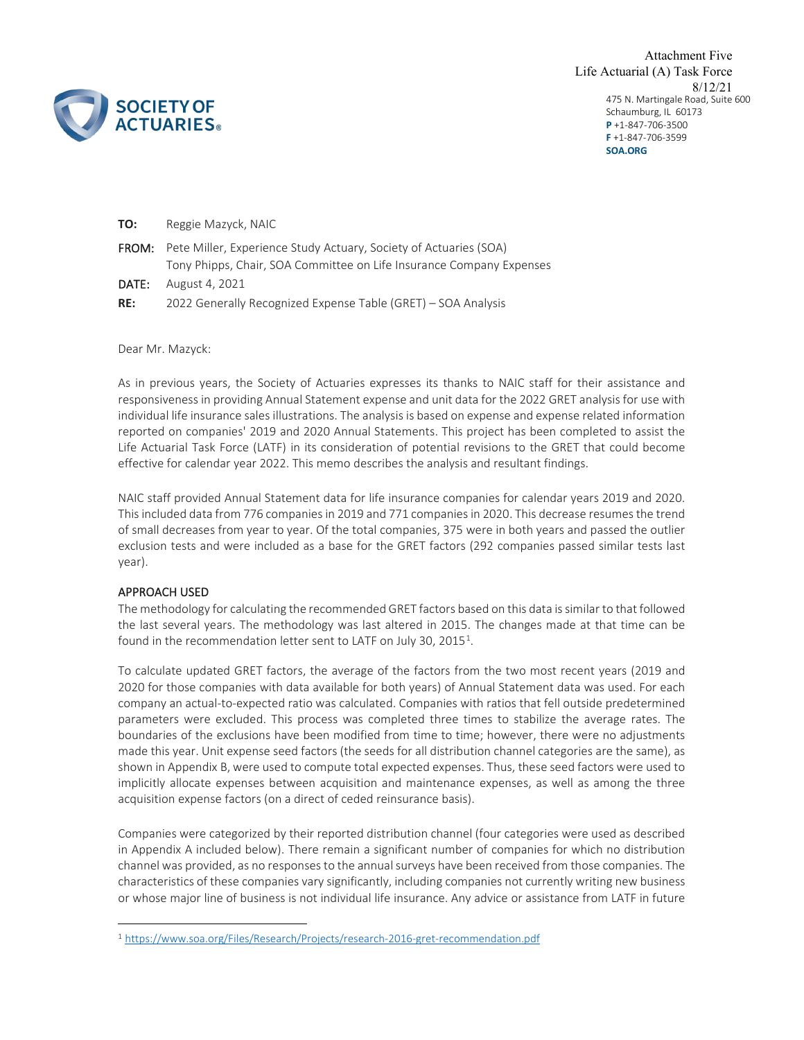

475 N. Martingale Road, Suite 600 Schaumburg, IL 60173 **P** +1-847-706-3500 **F** +1-847-706-3599 **SOA.ORG** Attachment Five Life Actuarial (A) Task Force 8/12/21

| TO:   | Reggie Mazyck, NAIC                                                                                                                                    |
|-------|--------------------------------------------------------------------------------------------------------------------------------------------------------|
|       | <b>FROM:</b> Pete Miller, Experience Study Actuary, Society of Actuaries (SOA)<br>Tony Phipps, Chair, SOA Committee on Life Insurance Company Expenses |
| DATE: | August 4, 2021                                                                                                                                         |
| RE:   | 2022 Generally Recognized Expense Table (GRET) – SOA Analysis                                                                                          |

Dear Mr. Mazyck:

As in previous years, the Society of Actuaries expresses its thanks to NAIC staff for their assistance and responsiveness in providing Annual Statement expense and unit data for the 2022 GRET analysis for use with individual life insurance sales illustrations. The analysis is based on expense and expense related information reported on companies' 2019 and 2020 Annual Statements. This project has been completed to assist the Life Actuarial Task Force (LATF) in its consideration of potential revisions to the GRET that could become effective for calendar year 2022. This memo describes the analysis and resultant findings.

NAIC staff provided Annual Statement data for life insurance companies for calendar years 2019 and 2020. This included data from 776 companies in 2019 and 771 companies in 2020. This decrease resumes the trend of small decreases from year to year. Of the total companies, 375 were in both years and passed the outlier exclusion tests and were included as a base for the GRET factors (292 companies passed similar tests last year).

# APPROACH USED

The methodology for calculating the recommended GRET factors based on this data is similar to that followed the last several years. The methodology was last altered in 2015. The changes made at that time can be found in the recommendation letter sent to LATF on July 30, 20[1](#page-0-0)5<sup>1</sup>.

To calculate updated GRET factors, the average of the factors from the two most recent years (2019 and 2020 for those companies with data available for both years) of Annual Statement data was used. For each company an actual-to-expected ratio was calculated. Companies with ratios that fell outside predetermined parameters were excluded. This process was completed three times to stabilize the average rates. The boundaries of the exclusions have been modified from time to time; however, there were no adjustments made this year. Unit expense seed factors (the seeds for all distribution channel categories are the same), as shown in Appendix B, were used to compute total expected expenses. Thus, these seed factors were used to implicitly allocate expenses between acquisition and maintenance expenses, as well as among the three acquisition expense factors (on a direct of ceded reinsurance basis).

Companies were categorized by their reported distribution channel (four categories were used as described in Appendix A included below). There remain a significant number of companies for which no distribution channel was provided, as no responses to the annual surveys have been received from those companies. The characteristics of these companies vary significantly, including companies not currently writing new business or whose major line of business is not individual life insurance. Any advice or assistance from LATF in future

<span id="page-0-0"></span><sup>1</sup> <https://www.soa.org/Files/Research/Projects/research-2016-gret-recommendation.pdf>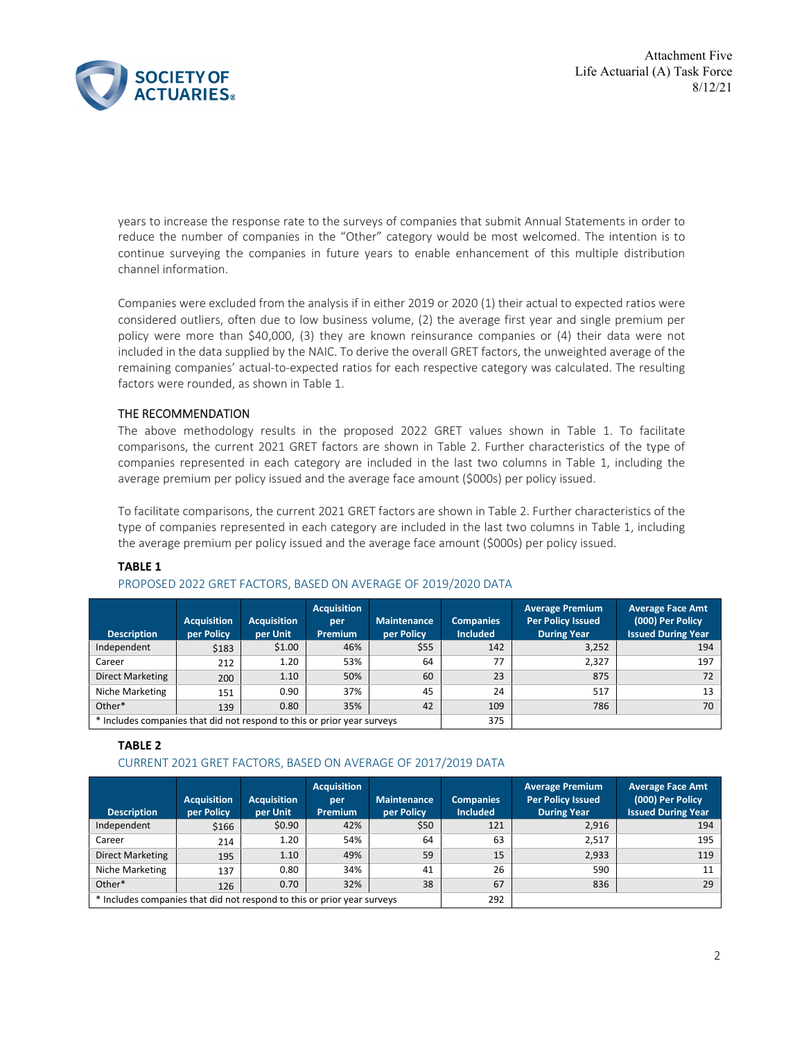

years to increase the response rate to the surveys of companies that submit Annual Statements in order to reduce the number of companies in the "Other" category would be most welcomed. The intention is to continue surveying the companies in future years to enable enhancement of this multiple distribution channel information.

Companies were excluded from the analysis if in either 2019 or 2020 (1) their actual to expected ratios were considered outliers, often due to low business volume, (2) the average first year and single premium per policy were more than \$40,000, (3) they are known reinsurance companies or (4) their data were not included in the data supplied by the NAIC. To derive the overall GRET factors, the unweighted average of the remaining companies' actual-to-expected ratios for each respective category was calculated. The resulting factors were rounded, as shown in Table 1.

# THE RECOMMENDATION

The above methodology results in the proposed 2022 GRET values shown in Table 1. To facilitate comparisons, the current 2021 GRET factors are shown in Table 2. Further characteristics of the type of companies represented in each category are included in the last two columns in Table 1, including the average premium per policy issued and the average face amount (\$000s) per policy issued.

To facilitate comparisons, the current 2021 GRET factors are shown in Table 2. Further characteristics of the type of companies represented in each category are included in the last two columns in Table 1, including the average premium per policy issued and the average face amount (\$000s) per policy issued.

### **TABLE 1**

### PROPOSED 2022 GRET FACTORS, BASED ON AVERAGE OF 2019/2020 DATA

| <b>Description</b>                                                      | <b>Acquisition</b><br>per Policy | <b>Acquisition</b><br>per Unit | <b>Acquisition</b><br>per<br><b>Premium</b> | <b>Maintenance</b><br>per Policy | <b>Companies</b><br><b>Included</b> | <b>Average Premium</b><br><b>Per Policy Issued</b><br><b>During Year</b> | <b>Average Face Amt</b><br>(000) Per Policy<br><b>Issued During Year</b> |
|-------------------------------------------------------------------------|----------------------------------|--------------------------------|---------------------------------------------|----------------------------------|-------------------------------------|--------------------------------------------------------------------------|--------------------------------------------------------------------------|
| Independent                                                             | \$183                            | \$1.00                         | 46%                                         | \$55                             | 142                                 | 3,252                                                                    | 194                                                                      |
| Career                                                                  | 212                              | 1.20                           | 53%                                         | 64                               | 77                                  | 2,327                                                                    | 197                                                                      |
| Direct Marketing                                                        | 200                              | 1.10                           | 50%                                         | 60                               | 23                                  | 875                                                                      | 72                                                                       |
| Niche Marketing                                                         | 151                              | 0.90                           | 37%                                         | 45                               | 24                                  | 517                                                                      | 13                                                                       |
| Other*                                                                  | 139                              | 0.80                           | 35%                                         | 42                               | 109                                 | 786                                                                      | 70                                                                       |
| * Includes companies that did not respond to this or prior year surveys |                                  |                                |                                             |                                  | 375                                 |                                                                          |                                                                          |

### **TABLE 2**

# CURRENT 2021 GRET FACTORS, BASED ON AVERAGE OF 2017/2019 DATA

| <b>Description</b>                                                      | <b>Acquisition</b><br>per Policy | <b>Acquisition</b><br>per Unit | <b>Acquisition</b><br>per<br><b>Premium</b> | <b>Maintenance</b><br>per Policy | <b>Companies</b><br><b>Included</b> | <b>Average Premium</b><br><b>Per Policy Issued</b><br><b>During Year</b> | <b>Average Face Amt</b><br>(000) Per Policy<br><b>Issued During Year</b> |
|-------------------------------------------------------------------------|----------------------------------|--------------------------------|---------------------------------------------|----------------------------------|-------------------------------------|--------------------------------------------------------------------------|--------------------------------------------------------------------------|
| Independent                                                             | \$166                            | \$0.90                         | 42%                                         | \$50                             | 121                                 | 2,916                                                                    | 194                                                                      |
| Career                                                                  | 214                              | 1.20                           | 54%                                         | 64                               | 63                                  | 2.517                                                                    | 195                                                                      |
| <b>Direct Marketing</b>                                                 | 195                              | 1.10                           | 49%                                         | 59                               | 15                                  | 2,933                                                                    | 119                                                                      |
| Niche Marketing                                                         | 137                              | 0.80                           | 34%                                         | 41                               | 26                                  | 590                                                                      | 11                                                                       |
| Other*                                                                  | 126                              | 0.70                           | 32%                                         | 38                               | 67                                  | 836                                                                      | 29                                                                       |
| * Includes companies that did not respond to this or prior year surveys |                                  |                                |                                             | 292                              |                                     |                                                                          |                                                                          |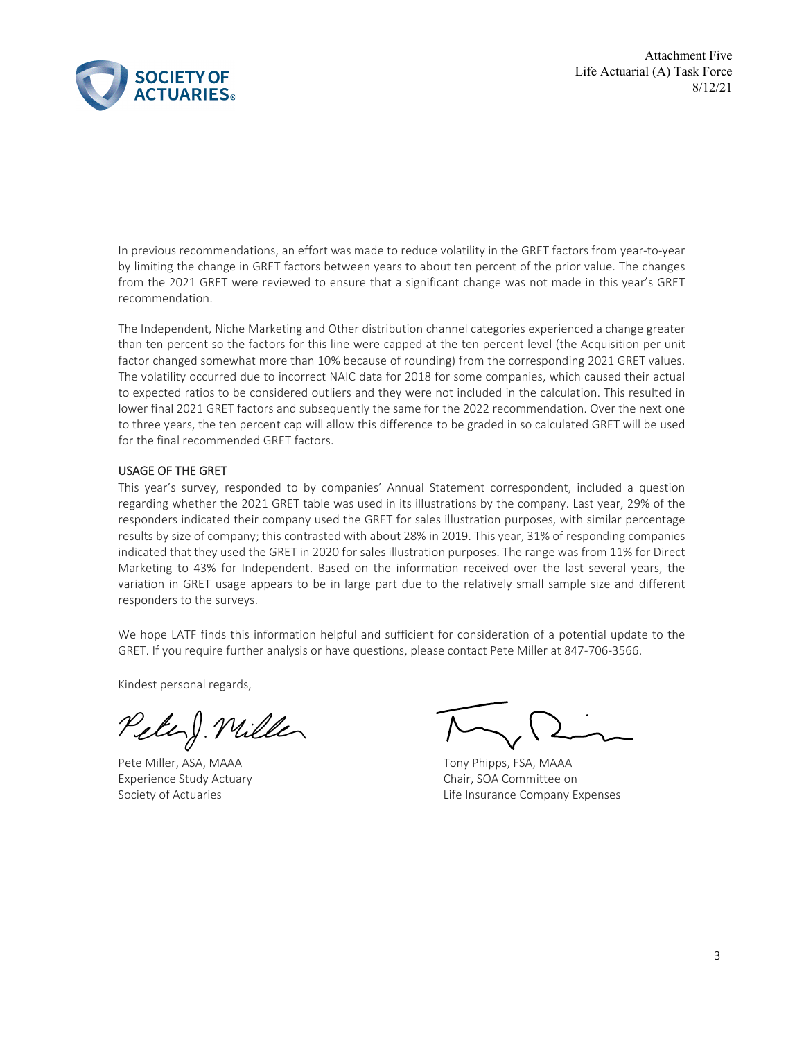Attachment Five Life Actuarial (A) Task Force 8/12/21



In previous recommendations, an effort was made to reduce volatility in the GRET factors from year-to-year by limiting the change in GRET factors between years to about ten percent of the prior value. The changes from the 2021 GRET were reviewed to ensure that a significant change was not made in this year's GRET recommendation.

The Independent, Niche Marketing and Other distribution channel categories experienced a change greater than ten percent so the factors for this line were capped at the ten percent level (the Acquisition per unit factor changed somewhat more than 10% because of rounding) from the corresponding 2021 GRET values. The volatility occurred due to incorrect NAIC data for 2018 for some companies, which caused their actual to expected ratios to be considered outliers and they were not included in the calculation. This resulted in lower final 2021 GRET factors and subsequently the same for the 2022 recommendation. Over the next one to three years, the ten percent cap will allow this difference to be graded in so calculated GRET will be used for the final recommended GRET factors.

# USAGE OF THE GRET

This year's survey, responded to by companies' Annual Statement correspondent, included a question regarding whether the 2021 GRET table was used in its illustrations by the company. Last year, 29% of the responders indicated their company used the GRET for sales illustration purposes, with similar percentage results by size of company; this contrasted with about 28% in 2019. This year, 31% of responding companies indicated that they used the GRET in 2020 for sales illustration purposes. The range was from 11% for Direct Marketing to 43% for Independent. Based on the information received over the last several years, the variation in GRET usage appears to be in large part due to the relatively small sample size and different responders to the surveys.

We hope LATF finds this information helpful and sufficient for consideration of a potential update to the GRET. If you require further analysis or have questions, please contact Pete Miller at 847-706-3566.

Kindest personal regards,

Peter ). Willer

Pete Miller, ASA, MAAA Tony Phipps, FSA, MAAA

Experience Study Actuary **Chair** Chair, SOA Committee on Society of Actuaries **Life Insurance Company Expenses**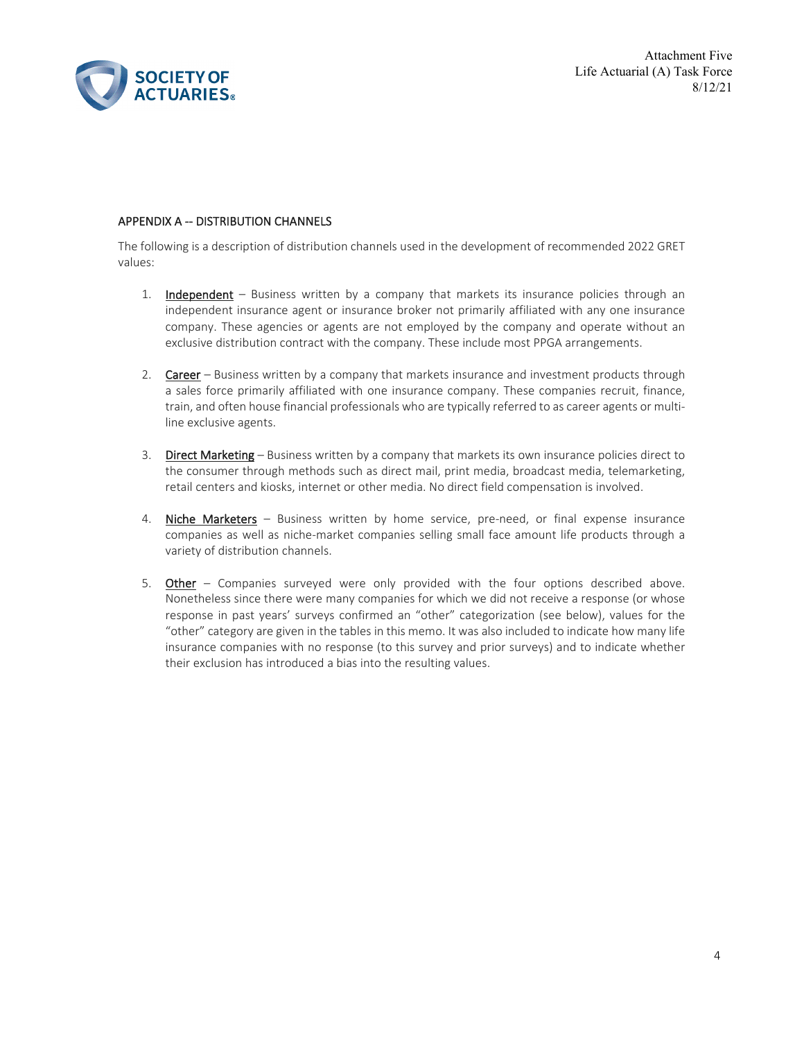

Attachment Five Life Actuarial (A) Task Force 8/12/21

# APPENDIX A -- DISTRIBUTION CHANNELS

The following is a description of distribution channels used in the development of recommended 2022 GRET values:

- 1. Independent Business written by a company that markets its insurance policies through an independent insurance agent or insurance broker not primarily affiliated with any one insurance company. These agencies or agents are not employed by the company and operate without an exclusive distribution contract with the company. These include most PPGA arrangements.
- 2. Career Business written by a company that markets insurance and investment products through a sales force primarily affiliated with one insurance company. These companies recruit, finance, train, and often house financial professionals who are typically referred to as career agents or multiline exclusive agents.
- 3. Direct Marketing Business written by a company that markets its own insurance policies direct to the consumer through methods such as direct mail, print media, broadcast media, telemarketing, retail centers and kiosks, internet or other media. No direct field compensation is involved.
- 4. Niche Marketers Business written by home service, pre-need, or final expense insurance companies as well as niche-market companies selling small face amount life products through a variety of distribution channels.
- 5. Other Companies surveyed were only provided with the four options described above. Nonetheless since there were many companies for which we did not receive a response (or whose response in past years' surveys confirmed an "other" categorization (see below), values for the "other" category are given in the tables in this memo. It was also included to indicate how many life insurance companies with no response (to this survey and prior surveys) and to indicate whether their exclusion has introduced a bias into the resulting values.